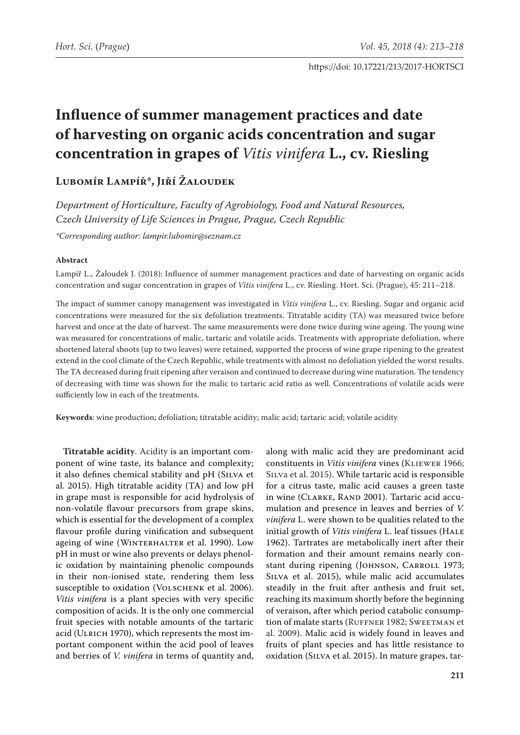# **Influence of summer management practices and date of harvesting on organic acids concentration and sugar concentration in grapes of** *Vitis vinifera* **L., cv. Riesling**

# **Lubomír Lampíř\*, Jiří Žaloudek**

*Department of Horticulture, Faculty of Agrobiology, Food and Natural Resources, Czech University of Life Sciences in Prague, Prague, Czech Republic*

*\*Corresponding author: lampir.lubomir@seznam.cz*

#### **Abstract**

Lampíř L., Žaloudek J. (2018): Influence of summer management practices and date of harvesting on organic acids concentration and sugar concentration in grapes of *Vitis vinifera* L., cv. Riesling. Hort. Sci. (Prague), 45: 211–218.

The impact of summer canopy management was investigated in *Vitis vinifera* L., cv. Riesling. Sugar and organic acid concentrations were measured for the six defoliation treatments. Titratable acidity (TA) was measured twice before harvest and once at the date of harvest. The same measurements were done twice during wine ageing. The young wine was measured for concentrations of malic, tartaric and volatile acids. Treatments with appropriate defoliation, where shortened lateral shoots (up to two leaves) were retained, supported the process of wine grape ripening to the greatest extend in the cool climate of the Czech Republic, while treatments with almost no defoliation yielded the worst results. The TA decreased during fruit ripening after veraison and continued to decrease during wine maturation. The tendency of decreasing with time was shown for the malic to tartaric acid ratio as well. Concentrations of volatile acids were sufficiently low in each of the treatments.

**Keywords**: wine production; defoliation; titratable acidity; malic acid; tartaric acid; volatile acidity

**Titratable acidity**. Acidity is an important component of wine taste, its balance and complexity; it also defines chemical stability and pH (SILVA et al. 2015). High titratable acidity (TA) and low pH in grape must is responsible for acid hydrolysis of non-volatile flavour precursors from grape skins, which is essential for the development of a complex flavour profile during vinification and subsequent ageing of wine (WINTERHALTER et al. 1990). Low pH in must or wine also prevents or delays phenolic oxidation by maintaining phenolic compounds in their non-ionised state, rendering them less susceptible to oxidation (VOLSCHENK et al. 2006). *Vitis vinifera* is a plant species with very specific composition of acids. It is the only one commercial fruit species with notable amounts of the tartaric acid (ULRICH 1970), which represents the most important component within the acid pool of leaves and berries of *V. vinifera* in terms of quantity and,

along with malic acid they are predominant acid constituents in Vitis vinifera vines (KLIEWER 1966; SILVa et al. 2015). While tartaric acid is responsible for a citrus taste, malic acid causes a green taste in wine (CLARKE, RAND 2001). Tartaric acid accumulation and presence in leaves and berries of *V. vinifera* L. were shown to be qualities related to the initial growth of *Vitis vinifera* L. leaf tissues (HALE 1962). Tartrates are metabolically inert after their formation and their amount remains nearly constant during ripening (JOHNSON, CARROLL 1973; SILVA et al. 2015), while malic acid accumulates steadily in the fruit after anthesis and fruit set, reaching its maximum shortly before the beginning of veraison, after which period catabolic consumption of malate starts (RUFFNER 1982; SWEETMAN et al. 2009). Malic acid is widely found in leaves and fruits of plant species and has little resistance to oxidation (Silva et al. 2015). In mature grapes, tar-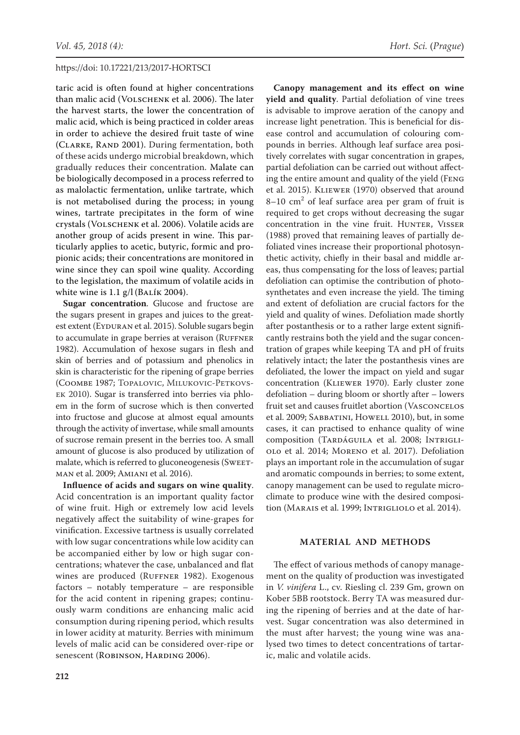taric acid is often found at higher concentrations than malic acid (VOLSCHENK et al. 2006). The later the harvest starts, the lower the concentration of malic acid, which is being practiced in colder areas in order to achieve the desired fruit taste of wine (CLARKE, RAND 2001). During fermentation, both of these acids undergo microbial breakdown, which gradually reduces their concentration. Malate can be biologically decomposed in a process referred to as malolactic fermentation, unlike tartrate, which is not metabolised during the process; in young wines, tartrate precipitates in the form of wine crystals (Volschenk et al. 2006). Volatile acids are another group of acids present in wine. This particularly applies to acetic, butyric, formic and propionic acids; their concentrations are monitored in wine since they can spoil wine quality. According to the legislation, the maximum of volatile acids in white wine is  $1.1$  g/l (BALÍK 2004).

**Sugar concentration**. Glucose and fructose are the sugars present in grapes and juices to the greatest extent (EYDURAN et al. 2015). Soluble sugars begin to accumulate in grape berries at veraison (RUFFNER 1982). Accumulation of hexose sugars in flesh and skin of berries and of potassium and phenolics in skin is characteristic for the ripening of grape berries (Coombe 1987; Topalovic, Milukovic-Petkovsek 2010). Sugar is transferred into berries via phloem in the form of sucrose which is then converted into fructose and glucose at almost equal amounts through the activity of invertase, while small amounts of sucrose remain present in the berries too. A small amount of glucose is also produced by utilization of malate, which is referred to gluconeogenesis (SWEETman et al. 2009; Amiani et al. 2016).

**Influence of acids and sugars on wine quality**. Acid concentration is an important quality factor of wine fruit. High or extremely low acid levels negatively affect the suitability of wine-grapes for vinification. Excessive tartness is usually correlated with low sugar concentrations while low acidity can be accompanied either by low or high sugar concentrations; whatever the case, unbalanced and flat wines are produced (RUFFNER 1982). Exogenous factors – notably temperature – are responsible for the acid content in ripening grapes; continuously warm conditions are enhancing malic acid consumption during ripening period, which results in lower acidity at maturity. Berries with minimum levels of malic acid can be considered over-ripe or senescent (ROBINSON, HARDING 2006).

**Canopy management and its effect on wine yield and quality**. Partial defoliation of vine trees is advisable to improve aeration of the canopy and increase light penetration. This is beneficial for disease control and accumulation of colouring compounds in berries. Although leaf surface area positively correlates with sugar concentration in grapes, partial defoliation can be carried out without affecting the entire amount and quality of the yield (Feng et al. 2015). Kliewer (1970) observed that around  $8-10$  cm<sup>2</sup> of leaf surface area per gram of fruit is required to get crops without decreasing the sugar concentration in the vine fruit. HUNTER, VISSER (1988) proved that remaining leaves of partially defoliated vines increase their proportional photosynthetic activity, chiefly in their basal and middle areas, thus compensating for the loss of leaves; partial defoliation can optimise the contribution of photosynthetates and even increase the yield. The timing and extent of defoliation are crucial factors for the yield and quality of wines. Defoliation made shortly after postanthesis or to a rather large extent significantly restrains both the yield and the sugar concentration of grapes while keeping TA and pH of fruits relatively intact; the later the postanthesis vines are defoliated, the lower the impact on yield and sugar concentration (Kliewer 1970). Early cluster zone defoliation – during bloom or shortly after – lowers fruit set and causes fruitlet abortion (Vasconcelos et al. 2009; SABBATINI, HOWELL 2010), but, in some cases, it can practised to enhance quality of wine composition (TARDÁGUILA et al. 2008; INTRIGLIolo et al. 2014; Moreno et al. 2017). Defoliation plays an important role in the accumulation of sugar and aromatic compounds in berries; to some extent, canopy management can be used to regulate microclimate to produce wine with the desired composition (Marais et al. 1999; Intrigliolo et al. 2014).

# **MATERIAL AND METHODS**

The effect of various methods of canopy management on the quality of production was investigated in *V. vinifera* L., cv. Riesling cl. 239 Gm, grown on Kober 5BB rootstock. Berry TA was measured during the ripening of berries and at the date of harvest. Sugar concentration was also determined in the must after harvest; the young wine was analysed two times to detect concentrations of tartaric, malic and volatile acids.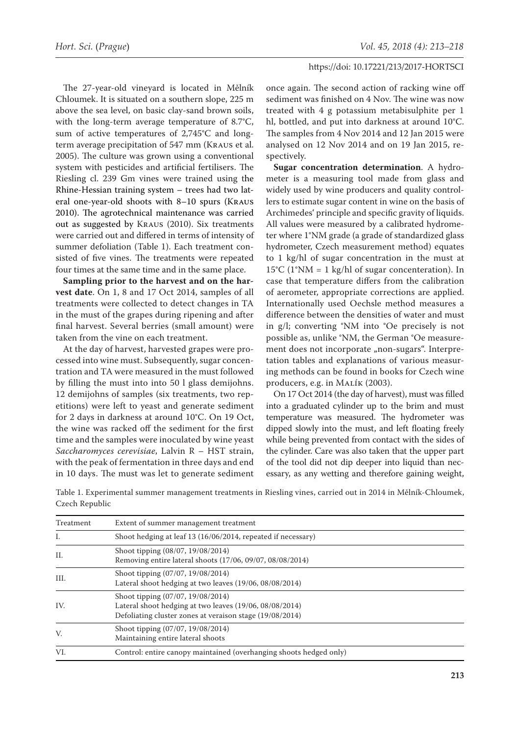The 27-year-old vineyard is located in Mělník Chloumek. It is situated on a southern slope, 225 m above the sea level, on basic clay-sand brown soils, with the long-term average temperature of 8.7°C, sum of active temperatures of 2,745°C and longterm average precipitation of 547 mm (Kraus et al. 2005). The culture was grown using a conventional system with pesticides and artificial fertilisers. The Riesling cl. 239 Gm vines were trained using the Rhine-Hessian training system – trees had two lateral one-year-old shoots with 8–10 spurs (Kraus 2010). The agrotechnical maintenance was carried out as suggested by Kraus (2010). Six treatments were carried out and differed in terms of intensity of summer defoliation (Table 1). Each treatment consisted of five vines. The treatments were repeated four times at the same time and in the same place.

**Sampling prior to the harvest and on the harvest date**. On 1, 8 and 17 Oct 2014, samples of all treatments were collected to detect changes in TA in the must of the grapes during ripening and after final harvest. Several berries (small amount) were taken from the vine on each treatment.

At the day of harvest, harvested grapes were processed into wine must. Subsequently, sugar concentration and TA were measured in the must followed by filling the must into into 50 l glass demijohns. 12 demijohns of samples (six treatments, two repetitions) were left to yeast and generate sediment for 2 days in darkness at around 10°C. On 19 Oct, the wine was racked off the sediment for the first time and the samples were inoculated by wine yeast *Saccharomyces cerevisiae*, Lalvin R – HST strain, with the peak of fermentation in three days and end in 10 days. The must was let to generate sediment once again. The second action of racking wine off sediment was finished on 4 Nov. The wine was now treated with 4 g potassium metabisulphite per 1 hl, bottled, and put into darkness at around 10°C. The samples from 4 Nov 2014 and 12 Jan 2015 were analysed on 12 Nov 2014 and on 19 Jan 2015, respectively.

**Sugar concentration determination**. A hydrometer is a measuring tool made from glass and widely used by wine producers and quality controllers to estimate sugar content in wine on the basis of Archimedesʻ principle and specific gravity of liquids. All values were measured by a calibrated hydrometer where 1°NM grade (a grade of standardized glass hydrometer, Czech measurement method) equates to 1 kg/hl of sugar concentration in the must at 15°C (1°NM = 1 kg/hl of sugar concenteration). In case that temperature differs from the calibration of aerometer, appropriate corrections are applied. Internationally used Oechsle method measures a difference between the densities of water and must in g/l; converting °NM into °Oe precisely is not possible as, unlike °NM, the German °Oe measurement does not incorporate "non-sugars". Interpretation tables and explanations of various measuring methods can be found in books for Czech wine producers, e.g. in Malík (2003).

On 17 Oct 2014 (the day of harvest), must was filled into a graduated cylinder up to the brim and must temperature was measured. The hydrometer was dipped slowly into the must, and left floating freely while being prevented from contact with the sides of the cylinder. Care was also taken that the upper part of the tool did not dip deeper into liquid than necessary, as any wetting and therefore gaining weight,

| Treatment | Extent of summer management treatment                                                                                                                    |
|-----------|----------------------------------------------------------------------------------------------------------------------------------------------------------|
| Ι.        | Shoot hedging at leaf 13 (16/06/2014, repeated if necessary)                                                                                             |
| II.       | Shoot tipping (08/07, 19/08/2014)<br>Removing entire lateral shoots (17/06, 09/07, 08/08/2014)                                                           |
| III.      | Shoot tipping (07/07, 19/08/2014)<br>Lateral shoot hedging at two leaves (19/06, 08/08/2014)                                                             |
| IV.       | Shoot tipping (07/07, 19/08/2014)<br>Lateral shoot hedging at two leaves (19/06, 08/08/2014)<br>Defoliating cluster zones at veraison stage (19/08/2014) |
| V.        | Shoot tipping (07/07, 19/08/2014)<br>Maintaining entire lateral shoots                                                                                   |
| VI.       | Control: entire canopy maintained (overhanging shoots hedged only)                                                                                       |

Table 1. Experimental summer management treatments in Riesling vines, carried out in 2014 in Mělník-Chloumek, Czech Republic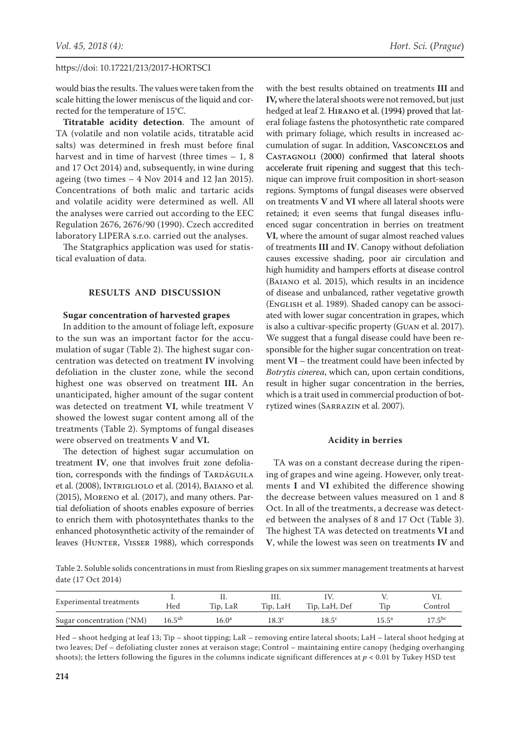would bias the results. The values were taken from the scale hitting the lower meniscus of the liquid and corrected for the temperature of 15°C.

**Titratable acidity detection**. The amount of TA (volatile and non volatile acids, titratable acid salts) was determined in fresh must before final harvest and in time of harvest (three times – 1, 8 and 17 Oct 2014) and, subsequently, in wine during ageing (two times  $-4$  Nov 2014 and 12 Jan 2015). Concentrations of both malic and tartaric acids and volatile acidity were determined as well. All the analyses were carried out according to the EEC Regulation 2676, 2676/90 (1990). Czech accredited laboratory LIPERA s.r.o. carried out the analyses.

The Statgraphics application was used for statistical evaluation of data.

# **RESULTS AND DISCUSSION**

#### **Sugar concentration of harvested grapes**

In addition to the amount of foliage left, exposure to the sun was an important factor for the accumulation of sugar (Table 2). The highest sugar concentration was detected on treatment **IV** involving defoliation in the cluster zone, while the second highest one was observed on treatment **III.** An unanticipated, higher amount of the sugar content was detected on treatment **VI**, while treatment V showed the lowest sugar content among all of the treatments (Table 2). Symptoms of fungal diseases were observed on treatments **V** and **VI.**

The detection of highest sugar accumulation on treatment **IV**, one that involves fruit zone defoliation, corresponds with the findings of TARDÁGUILA et al. (2008), Intrigliolo et al. (2014), Baiano et al. (2015), Moreno et al. (2017), and many others. Partial defoliation of shoots enables exposure of berries to enrich them with photosyntethates thanks to the enhanced photosynthetic activity of the remainder of leaves (HUNTER, VISSER 1988), which corresponds

with the best results obtained on treatments **III** and **IV,** where the lateral shoots were not removed, but just hedged at leaf 2. Hirano et al. (1994) proved that lateral foliage fastens the photosynthetic rate compared with primary foliage, which results in increased accumulation of sugar. In addition, Vasconcelos and Castagnoli (2000) confirmed that lateral shoots accelerate fruit ripening and suggest that this technique can improve fruit composition in short-season regions. Symptoms of fungal diseases were observed on treatments **V** and **VI** where all lateral shoots were retained; it even seems that fungal diseases influenced sugar concentration in berries on treatment **VI**, where the amount of sugar almost reached values of treatments **III** and **IV**. Canopy without defoliation causes excessive shading, poor air circulation and high humidity and hampers efforts at disease control (Baiano et al. 2015), which results in an incidence of disease and unbalanced, rather vegetative growth (English et al. 1989). Shaded canopy can be associated with lower sugar concentration in grapes, which is also a cultivar-specific property (Guan et al. 2017). We suggest that a fungal disease could have been responsible for the higher sugar concentration on treatment **VI** – the treatment could have been infected by *Botrytis cinerea*, which can, upon certain conditions, result in higher sugar concentration in the berries, which is a trait used in commercial production of botrytized wines (Sarrazin et al. 2007).

#### **Acidity in berries**

TA was on a constant decrease during the ripening of grapes and wine ageing. However, only treatments **I** and **VI** exhibited the difference showing the decrease between values measured on 1 and 8 Oct. In all of the treatments, a decrease was detected between the analyses of 8 and 17 Oct (Table 3). The highest TA was detected on treatments **VI** and **V**, while the lowest was seen on treatments **IV** and

Table 2. Soluble solids concentrations in must from Riesling grapes on six summer management treatments at harvest date (17 Oct 2014)

| Experimental treatments   |                    |                |                |                |                |             |
|---------------------------|--------------------|----------------|----------------|----------------|----------------|-------------|
|                           | Hed                | Tip, LaR       | Tip, LaH       | Tip, LaH, Def  |                | Control     |
| Sugar concentration (°NM) | $16.5^{\text{ab}}$ | $16.0^{\rm a}$ | $18.3^{\circ}$ | $18.5^{\rm c}$ | $15.5^{\circ}$ | $17.5^{bc}$ |

Hed – shoot hedging at leaf 13; Tip – shoot tipping; LaR – removing entire lateral shoots; LaH – lateral shoot hedging at two leaves; Def – defoliating cluster zones at veraison stage; Control – maintaining entire canopy (hedging overhanging shoots); the letters following the figures in the columns indicate significant differences at  $p < 0.01$  by Tukey HSD test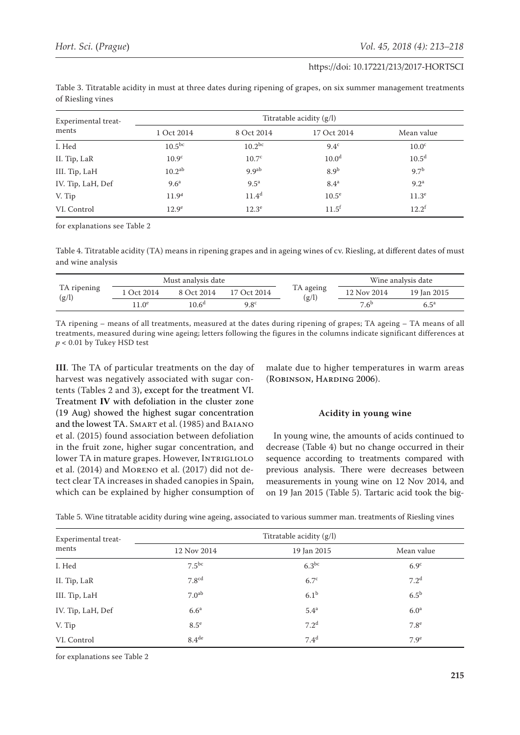| Experimental treat- | Titratable acidity $(g/l)$ |                    |                   |                   |  |  |
|---------------------|----------------------------|--------------------|-------------------|-------------------|--|--|
| ments               | 1 Oct 2014                 | 8 Oct 2014         | 17 Oct 2014       | Mean value        |  |  |
| I. Hed              | $10.5^{bc}$                | $10.2^{bc}$        | 9.4 <sup>c</sup>  | 10.0 <sup>c</sup> |  |  |
| II. Tip, LaR        | 10.9 <sup>c</sup>          | 10.7 <sup>c</sup>  | 10.0 <sup>d</sup> | 10.5 <sup>d</sup> |  |  |
| III. Tip, LaH       | 10.2 <sup>ab</sup>         | 9.9 <sup>ab</sup>  | 8.9 <sup>b</sup>  | 9.7 <sup>b</sup>  |  |  |
| IV. Tip, LaH, Def   | 9.6 <sup>a</sup>           | $9.5^{\mathrm{a}}$ | 8.4 <sup>a</sup>  | 9.2 <sup>a</sup>  |  |  |
| V. Tip              | 11.9 <sup>d</sup>          | $11.4^d$           | $10.5^e$          | 11.3 <sup>e</sup> |  |  |
| VI. Control         | 12.9 <sup>e</sup>          | $12.3^e$           | $11.5^{\rm f}$    | $12.2^f$          |  |  |

Table 3. Titratable acidity in must at three dates during ripening of grapes, on six summer management treatments of Riesling vines

for explanations see Table 2

Table 4. Titratable acidity (TA) means in ripening grapes and in ageing wines of cv. Riesling, at different dates of must and wine analysis

| TA ripening<br>(g/l) | Must analysis date |                |               |                    |                  | Wine analysis date |  |
|----------------------|--------------------|----------------|---------------|--------------------|------------------|--------------------|--|
|                      | Oct 2014           | 8 Oct 2014     | 17 Oct 2014   | TA ageing<br>(g/l) | 12 Nov 2014      | 19 Jan 2015        |  |
|                      | $1.0^\mathrm{e}$   | $10.6^{\rm d}$ | $9.8^{\circ}$ |                    | 7.6 <sup>b</sup> | $6.5^{\mathrm{a}}$ |  |

TA ripening – means of all treatments, measured at the dates during ripening of grapes; TA ageing – TA means of all treatments, measured during wine ageing; letters following the figures in the columns indicate significant differences at  $p < 0.01$  by Tukey HSD test

**III**. The TA of particular treatments on the day of harvest was negatively associated with sugar contents (Tables 2 and 3), except for the treatment VI. Treatment **IV** with defoliation in the cluster zone (19 Aug) showed the highest sugar concentration and the lowest TA. SMART et al. (1985) and BAIANO et al. (2015) found association between defoliation in the fruit zone, higher sugar concentration, and lower TA in mature grapes. However, INTRIGLIOLO et al. (2014) and Moreno et al. (2017) did not detect clear TA increases in shaded canopies in Spain, which can be explained by higher consumption of

malate due to higher temperatures in warm areas (Robinson, Harding 2006).

#### **Acidity in young wine**

In young wine, the amounts of acids continued to decrease (Table 4) but no change occurred in their sequence according to treatments compared with previous analysis. There were decreases between measurements in young wine on 12 Nov 2014, and on 19 Jan 2015 (Table 5). Tartaric acid took the big-

Table 5. Wine titratable acidity during wine ageing, associated to various summer man. treatments of Riesling vines

| Experimental treat- | Titratable acidity (g/l) |                  |                  |  |  |
|---------------------|--------------------------|------------------|------------------|--|--|
| ments               | 12 Nov 2014              | 19 Jan 2015      | Mean value       |  |  |
| I. Hed              | $7.5^{bc}$               | $6.3^{bc}$       | 6.9 <sup>c</sup> |  |  |
| II. Tip, LaR        | 7.8 <sup>cd</sup>        | $6.7^{\circ}$    | 7.2 <sup>d</sup> |  |  |
| III. Tip, LaH       | 7.0 <sup>ab</sup>        | 6.1 <sup>b</sup> | $6.5^{\rm b}$    |  |  |
| IV. Tip, LaH, Def   | 6.6 <sup>a</sup>         | 5.4 <sup>a</sup> | 6.0 <sup>a</sup> |  |  |
| V. Tip              | $8.5^{\circ}$            | 7.2 <sup>d</sup> | 7.8 <sup>e</sup> |  |  |
| VI. Control         | 8.4 <sup>de</sup>        | 7.4 <sup>d</sup> | 7.9 <sup>e</sup> |  |  |

for explanations see Table 2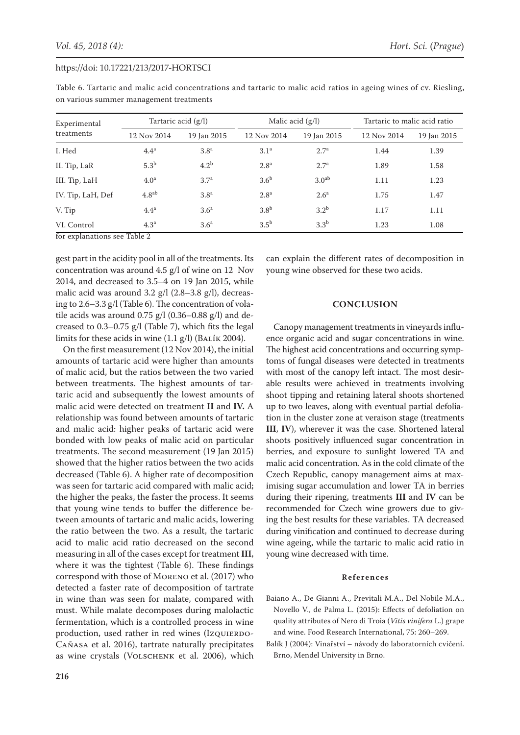| Experimental                                                                              | Tartaric acid $(g/l)$ |                  | Malic acid $(g/l)$ |                   | Tartaric to malic acid ratio |             |
|-------------------------------------------------------------------------------------------|-----------------------|------------------|--------------------|-------------------|------------------------------|-------------|
| treatments                                                                                | 12 Nov 2014           | 19 Jan 2015      | 12 Nov 2014        | 19 Jan 2015       | 12 Nov 2014                  | 19 Jan 2015 |
| I. Hed                                                                                    | 4.4 <sup>a</sup>      | 3.8 <sup>a</sup> | 3.1 <sup>a</sup>   | 2.7 <sup>a</sup>  | 1.44                         | 1.39        |
| II. Tip, LaR                                                                              | 5.3 <sup>b</sup>      | 4.2 <sup>b</sup> | 2.8 <sup>a</sup>   | 2.7 <sup>a</sup>  | 1.89                         | 1.58        |
| III. Tip, LaH                                                                             | 4.0 <sup>a</sup>      | 3.7 <sup>a</sup> | 3.6 <sup>b</sup>   | 3.0 <sup>ab</sup> | 1.11                         | 1.23        |
| IV. Tip, LaH, Def                                                                         | 4.8 <sup>ab</sup>     | 3.8 <sup>a</sup> | 2.8 <sup>a</sup>   | 2.6 <sup>a</sup>  | 1.75                         | 1.47        |
| V. Tip                                                                                    | 4.4 <sup>a</sup>      | 3.6 <sup>a</sup> | 3.8 <sup>b</sup>   | 3.2 <sup>b</sup>  | 1.17                         | 1.11        |
| VI. Control<br>$\overline{a}$ $\overline{a}$ $\overline{a}$ $\overline{a}$ $\overline{a}$ | 4.3 <sup>a</sup>      | 3.6 <sup>a</sup> | $3.5^{\rm b}$      | 3.3 <sup>b</sup>  | 1.23                         | 1.08        |

Table 6. Tartaric and malic acid concentrations and tartaric to malic acid ratios in ageing wines of cv. Riesling, on various summer management treatments

for explanations see Table 2

gest part in the acidity pool in all of the treatments. Its concentration was around 4.5 g/l of wine on 12 Nov 2014, and decreased to 3.5–4 on 19 Jan 2015, while malic acid was around 3.2 g/l (2.8–3.8 g/l), decreasing to 2.6–3.3 g/l (Table 6). The concentration of volatile acids was around  $0.75$  g/l (0.36–0.88 g/l) and decreased to 0.3–0.75 g/l (Table 7), which fits the legal limits for these acids in wine  $(1.1 \text{ g/l})$  (BALÍK 2004).

On the first measurement (12 Nov 2014), the initial amounts of tartaric acid were higher than amounts of malic acid, but the ratios between the two varied between treatments. The highest amounts of tartaric acid and subsequently the lowest amounts of malic acid were detected on treatment **II** and **IV.** A relationship was found between amounts of tartaric and malic acid: higher peaks of tartaric acid were bonded with low peaks of malic acid on particular treatments. The second measurement (19 Jan 2015) showed that the higher ratios between the two acids decreased (Table 6). A higher rate of decomposition was seen for tartaric acid compared with malic acid; the higher the peaks, the faster the process. It seems that young wine tends to buffer the difference between amounts of tartaric and malic acids, lowering the ratio between the two. As a result, the tartaric acid to malic acid ratio decreased on the second measuring in all of the cases except for treatment **III**, where it was the tightest (Table 6). These findings correspond with those of Moreno et al. (2017) who detected a faster rate of decomposition of tartrate in wine than was seen for malate, compared with must. While malate decomposes during malolactic fermentation, which is a controlled process in wine production, used rather in red wines (Izquierdo-Cañasa et al. 2016), tartrate naturally precipitates as wine crystals (VOLSCHENK et al. 2006), which

can explain the different rates of decomposition in young wine observed for these two acids.

#### **CONCLUSION**

Canopy management treatments in vineyards influence organic acid and sugar concentrations in wine. The highest acid concentrations and occurring symptoms of fungal diseases were detected in treatments with most of the canopy left intact. The most desirable results were achieved in treatments involving shoot tipping and retaining lateral shoots shortened up to two leaves, along with eventual partial defoliation in the cluster zone at veraison stage (treatments **III**, **IV**), wherever it was the case. Shortened lateral shoots positively influenced sugar concentration in berries, and exposure to sunlight lowered TA and malic acid concentration. As in the cold climate of the Czech Republic, canopy management aims at maximising sugar accumulation and lower TA in berries during their ripening, treatments **III** and **IV** can be recommended for Czech wine growers due to giving the best results for these variables. TA decreased during vinification and continued to decrease during wine ageing, while the tartaric to malic acid ratio in young wine decreased with time.

#### **References**

- Baiano A., De Gianni A., Previtali M.A., Del Nobile M.A., Novello V., de Palma L. (2015): Effects of defoliation on quality attributes of Nero di Troia (*Vitis vinifera* L.) grape and wine. Food Research International, 75: 260–269.
- Balík J (2004): Vinařství návody do laboratorních cvičení. Brno, Mendel University in Brno.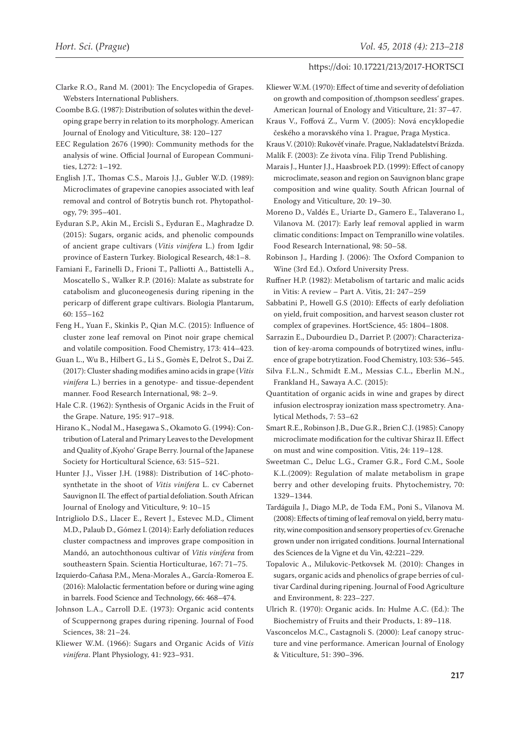- Clarke R.O., Rand M. (2001): The Encyclopedia of Grapes. Websters International Publishers.
- Coombe B.G. (1987): Distribution of solutes within the developing grape berry in relation to its morphology. American Journal of Enology and Viticulture, 38: 120–127
- EEC Regulation 2676 (1990): Community methods for the analysis of wine. Official Journal of European Communities, L272: 1–192.
- English J.T., Thomas C.S., Marois J.J., Gubler W.D. (1989): Microclimates of grapevine canopies associated with leaf removal and control of Botrytis bunch rot. Phytopathology, 79: 395–401.
- Eyduran S.P., Akin M., Ercisli S., Eyduran E., Maghradze D. (2015): Sugars, organic acids, and phenolic compounds of ancient grape cultivars (*Vitis vinifera* L.) from Igdir province of Eastern Turkey. Biological Research, 48:1–8.
- Famiani F., Farinelli D., Frioni T., Palliotti A., Battistelli A., Moscatello S., Walker R.P. (2016): Malate as substrate for catabolism and gluconeogenesis during ripening in the pericarp of different grape cultivars. Biologia Plantarum, 60: 155–162

Feng H., Yuan F., Skinkis P., Qian M.C. (2015): Influence of cluster zone leaf removal on Pinot noir grape chemical and volatile composition. Food Chemistry, 173: 414–423.

- Guan L., Wu B., Hilbert G., Li S., Gomès E, Delrot S., Dai Z. (2017): Cluster shading modifies amino acids in grape (*Vitis vinifera* L.) berries in a genotype- and tissue-dependent manner. Food Research International, 98: 2–9.
- Hale C.R. (1962): Synthesis of Organic Acids in the Fruit of the Grape. Nature, 195: 917–918.
- Hirano K., Nodal M., Hasegawa S., Okamoto G. (1994): Contribution of Lateral and Primary Leaves to the Development and Quality of , Kyoho' Grape Berry. Journal of the Japanese Society for Horticultural Science, 63: 515–521.
- Hunter J.J., Visser J.H. (1988): Distribution of 14C-photosynthetate in the shoot of *Vitis vinifera* L. cv Cabernet Sauvignon II. The effect of partial defoliation. South African Journal of Enology and Viticulture, 9: 10–15
- Intrigliolo D.S., Llacer E., Revert J., Estevec M.D., Climent M.D., Palaub D., Gómez I. (2014): Early defoliation reduces cluster compactness and improves grape composition in Mandó, an autochthonous cultivar of *Vitis vinifera* from southeastern Spain. Scientia Horticulturae, 167: 71–75.
- Izquierdo-Cañasa P.M., Mena-Morales A., García-Romeroa E. (2016): Malolactic fermentation before or during wine aging in barrels. Food Science and Technology, 66: 468–474.
- Johnson L.A., Carroll D.E. (1973): Organic acid contents of Scuppernong grapes during ripening. Journal of Food Sciences, 38: 21–24.
- Kliewer W.M. (1966): Sugars and Organic Acids of *Vitis vinifera*. Plant Physiology, 41: 923–931.
- Kliewer W.M. (1970): Effect of time and severity of defoliation on growth and composition of , thompson seedless' grapes. American Journal of Enology and Viticulture, 21: 37–47.
- Kraus V., Foffová Z., Vurm V. (2005): Nová encyklopedie českého a moravského vína 1. Prague, Praga Mystica.
- Kraus V. (2010): Rukověť vinaře. Prague, Nakladatelství Brázda.
- Malík F. (2003): Ze života vína. Filip Trend Publishing.
- Marais J., Hunter J.J., Haasbroek P.D. (1999): Effect of canopy microclimate, season and region on Sauvignon blanc grape composition and wine quality. South African Journal of Enology and Viticulture, 20: 19–30.
- Moreno D., Valdés E., Uriarte D., Gamero E., Talaverano I., Vilanova M. (2017): Early leaf removal applied in warm climatic conditions: Impact on Tempranillo wine volatiles. Food Research International, 98: 50–58.
- Robinson J., Harding J. (2006): The Oxford Companion to Wine (3rd Ed.). Oxford University Press.
- Ruffner H.P. (1982): Metabolism of tartaric and malic acids in Vitis: A review – Part A. Vitis, 21: 247–259
- Sabbatini P., Howell G.S (2010): Effects of early defoliation on yield, fruit composition, and harvest season cluster rot complex of grapevines. HortScience, 45: 1804–1808.
- Sarrazin E., Dubourdieu D., Darriet P. (2007): Characterization of key-aroma compounds of botrytized wines, influence of grape botrytization. Food Chemistry, 103: 536–545.
- Silva F.L.N., Schmidt E.M., Messias C.L., Eberlin M.N., Frankland H., Sawaya A.C. (2015):
- Quantitation of organic acids in wine and grapes by direct infusion electrospray ionization mass spectrometry. Analytical Methods, 7: 53–62
- Smart R.E., Robinson J.B., Due G.R., Brien C.J. (1985): Canopy microclimate modification for the cultivar Shiraz II. Effect on must and wine composition. Vitis, 24: 119–128.
- Sweetman C., Deluc L.G., Cramer G.R., Ford C.M., Soole K.L.(2009): Regulation of malate metabolism in grape berry and other developing fruits. Phytochemistry, 70: 1329–1344.
- Tardáguila J., Diago M.P., de Toda F.M., Poni S., Vilanova M. (2008): Effects of timing of leaf removal on yield, berry maturity, wine composition and sensory properties of cv. Grenache grown under non irrigated conditions. Journal International des Sciences de la Vigne et du Vin, 42:221–229.
- Topalovic A., Milukovic-Petkovsek M. (2010): Changes in sugars, organic acids and phenolics of grape berries of cultivar Cardinal during ripening. Journal of Food Agriculture and Environment, 8: 223–227.
- Ulrich R. (1970): Organic acids. In: Hulme A.C. (Ed.): The Biochemistry of Fruits and their Products, 1: 89–118.
- Vasconcelos M.C., Castagnoli S. (2000): Leaf canopy structure and vine performance. American Journal of Enology & Viticulture, 51: 390–396.